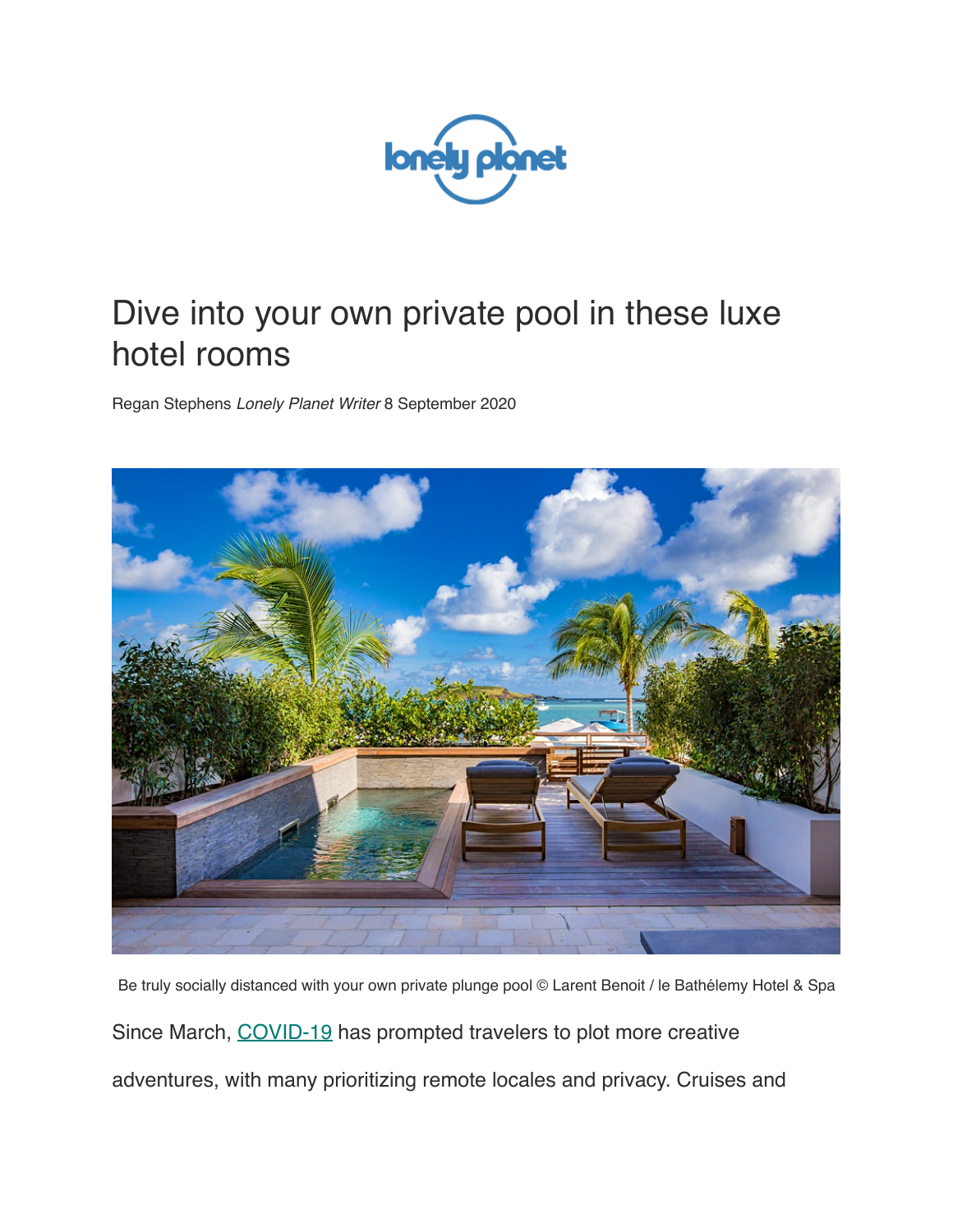

## Dive into your own private pool in these luxe hotel rooms

Regan Stephens *Lonely Planet Writer* 8 September 2020



Be truly socially distanced with your own private plunge pool © Larent Benoit / le Bathélemy Hotel & Spa Since March, [COVID-19](https://www.lonelyplanet.com/landing/covid-19) has prompted travelers to plot more creative adventures, with many prioritizing remote locales and privacy. Cruises and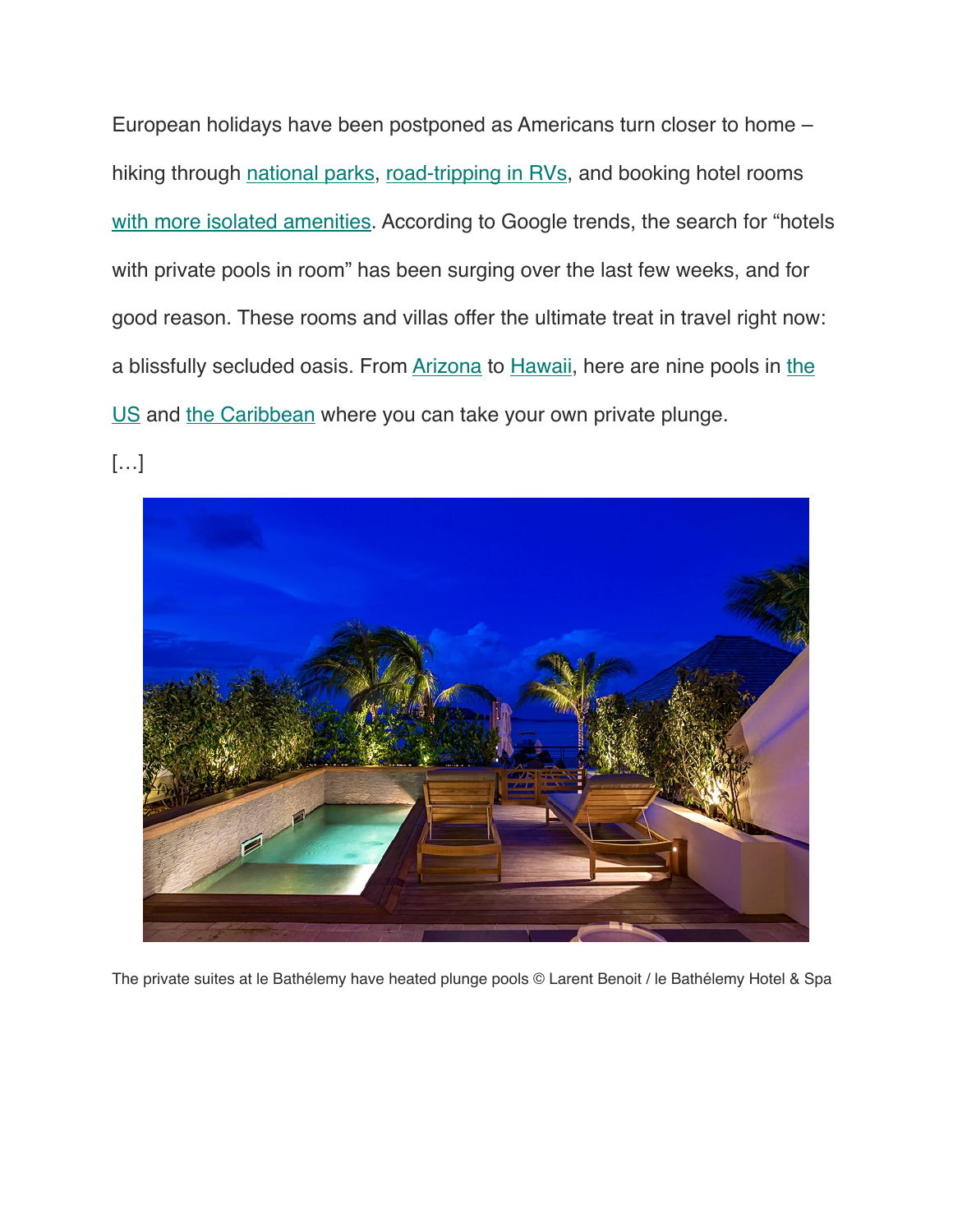European holidays have been postponed as Americans turn closer to home – hiking through [national parks,](https://www.lonelyplanet.com/articles/underrated-us-national-parks) [road-tripping in RVs,](https://www.lonelyplanet.com/articles/rv-travel-trend) and booking hotel rooms [with more isolated amenities.](https://www.lonelyplanet.com/articles/usa-hotels-social-distancing) According to Google trends, the search for "hotels" with private pools in room" has been surging over the last few weeks, and for good reason. These rooms and villas offer the ultimate treat in travel right now: a blissfully secluded oasis. From [Arizona](https://www.lonelyplanet.com/usa/arizona) to [Hawaii,](https://www.lonelyplanet.com/usa/hawaii) here are nine pools in [the](https://www.lonelyplanet.com/usa)  [US](https://www.lonelyplanet.com/usa) and [the Caribbean](https://www.lonelyplanet.com/caribbean) where you can take your own private plunge.

[…]



The private suites at le Bathélemy have heated plunge pools © Larent Benoit / le Bathélemy Hotel & Spa